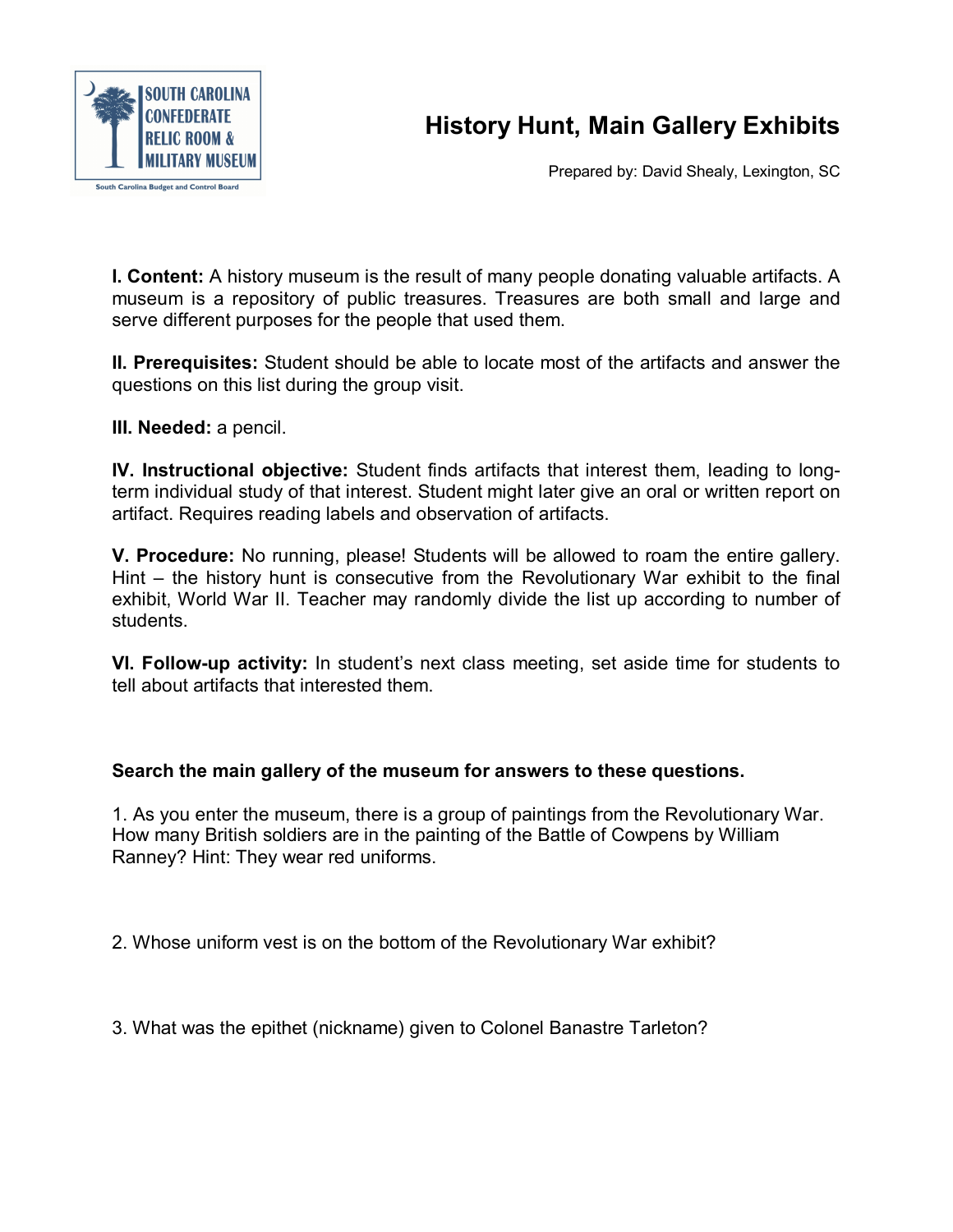

## **History Hunt, Main Gallery Exhibits**

Prepared by: David Shealy, Lexington, SC

**I. Content:** A history museum is the result of many people donating valuable artifacts. A museum is a repository of public treasures. Treasures are both small and large and serve different purposes for the people that used them.

**II. Prerequisites:** Student should be able to locate most of the artifacts and answer the questions on this list during the group visit.

**III. Needed:** a pencil.

**IV. Instructional objective:** Student finds artifacts that interest them, leading to longterm individual study of that interest. Student might later give an oral or written report on artifact. Requires reading labels and observation of artifacts.

**V. Procedure:** No running, please! Students will be allowed to roam the entire gallery. Hint – the history hunt is consecutive from the Revolutionary War exhibit to the final exhibit, World War II. Teacher may randomly divide the list up according to number of students.

**VI. Followup activity:** In student's next class meeting, set aside time for students to tell about artifacts that interested them.

## **Search the main gallery of the museum for answers to these questions.**

1. As you enter the museum, there is a group of paintings from the Revolutionary War. How many British soldiers are in the painting of the Battle of Cowpens by William Ranney? Hint: They wear red uniforms.

2. Whose uniform vest is on the bottom of the Revolutionary War exhibit?

3. What was the epithet (nickname) given to Colonel Banastre Tarleton?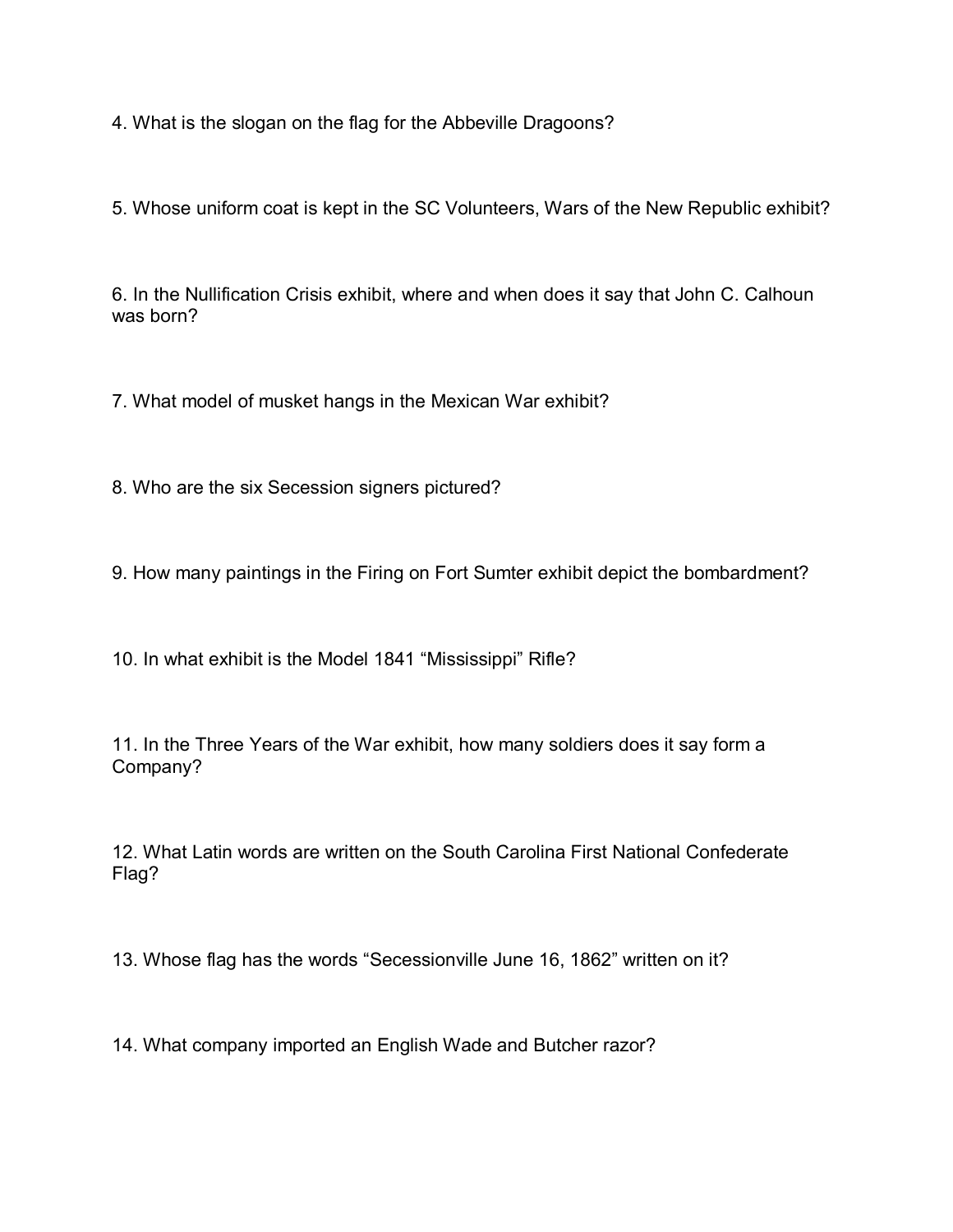4. What is the slogan on the flag for the Abbeville Dragoons?

5. Whose uniform coat is kept in the SC Volunteers, Wars of the New Republic exhibit?

6. In the Nullification Crisis exhibit, where and when does it say that John C. Calhoun was born?

7. What model of musket hangs in the Mexican War exhibit?

8. Who are the six Secession signers pictured?

9. How many paintings in the Firing on Fort Sumter exhibit depict the bombardment?

10. In what exhibit is the Model 1841 "Mississippi" Rifle?

11. In the Three Years of the War exhibit, how many soldiers does it say form a Company?

12. What Latin words are written on the South Carolina First National Confederate Flag?

13. Whose flag has the words "Secessionville June 16, 1862" written on it?

14. What company imported an English Wade and Butcher razor?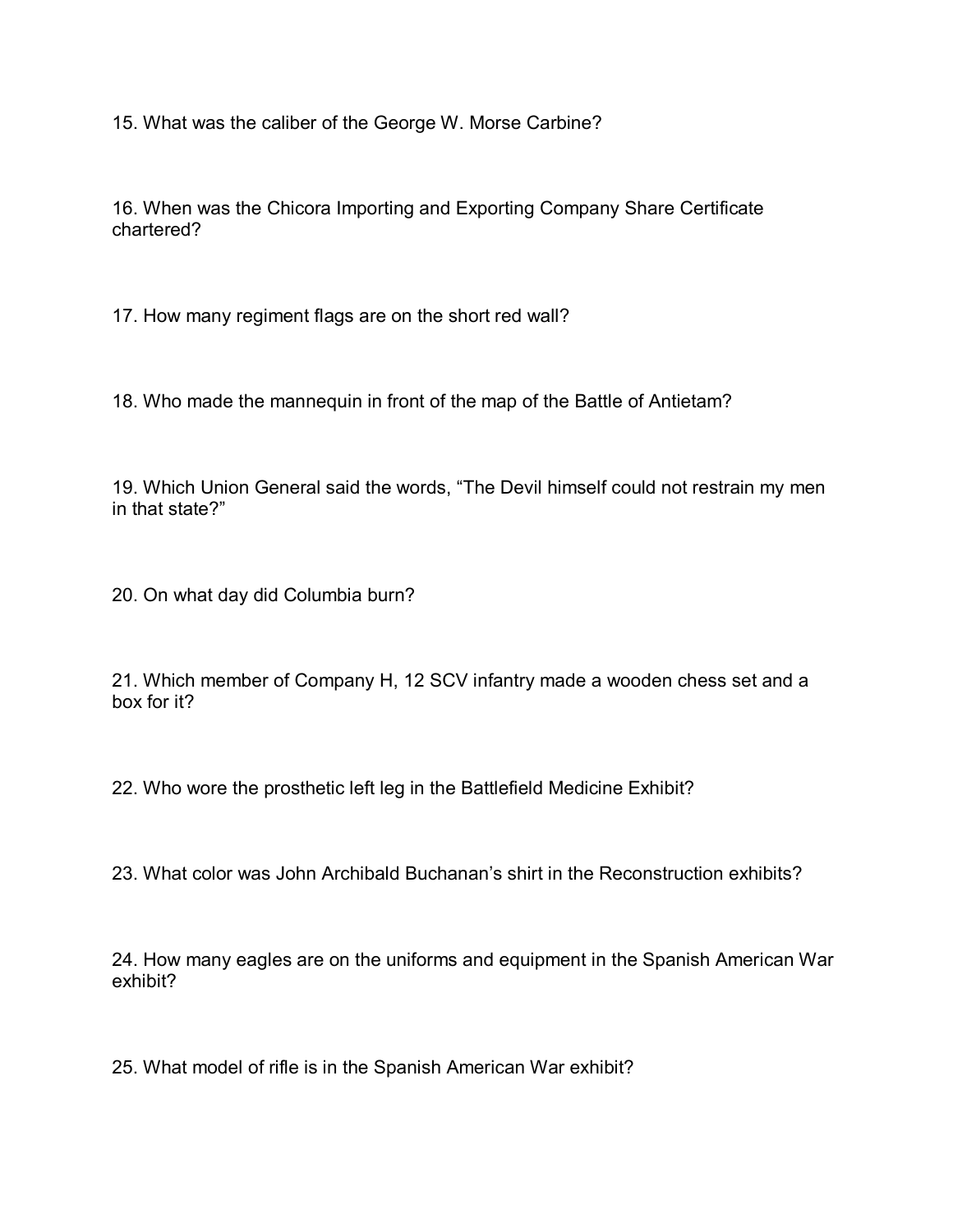15. What was the caliber of the George W. Morse Carbine?

16. When was the Chicora Importing and Exporting Company Share Certificate chartered?

17. How many regiment flags are on the short red wall?

18. Who made the mannequin in front of the map of the Battle of Antietam?

19. Which Union General said the words, "The Devil himself could not restrain my men in that state?"

20. On what day did Columbia burn?

21. Which member of Company H, 12 SCV infantry made a wooden chess set and a box for it?

22. Who wore the prosthetic left leg in the Battlefield Medicine Exhibit?

23. What color was John Archibald Buchanan's shirt in the Reconstruction exhibits?

24. How many eagles are on the uniforms and equipment in the Spanish American War exhibit?

25. What model of rifle is in the Spanish American War exhibit?